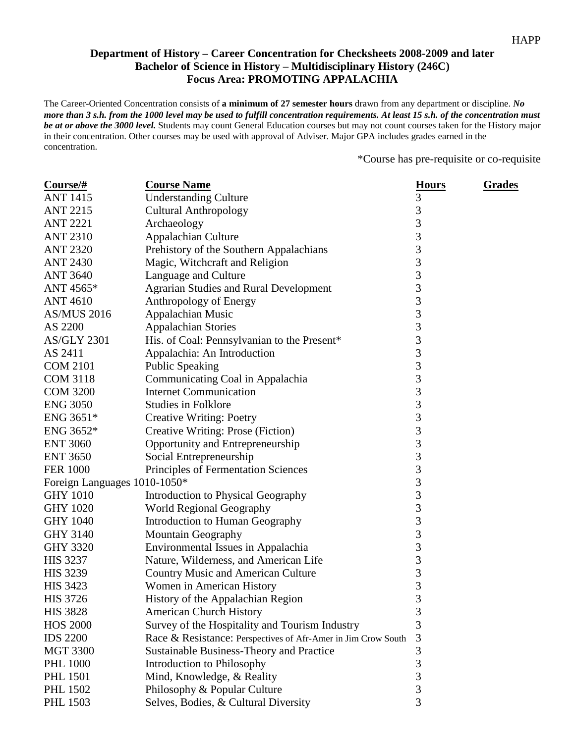## **Department of History – Career Concentration for Checksheets 2008-2009 and later Bachelor of Science in History – Multidisciplinary History (246C) Focus Area: PROMOTING APPALACHIA**

The Career-Oriented Concentration consists of **a minimum of 27 semester hours** drawn from any department or discipline. *No more than 3 s.h. from the 1000 level may be used to fulfill concentration requirements. At least 15 s.h. of the concentration must be at or above the 3000 level.* Students may count General Education courses but may not count courses taken for the History major in their concentration. Other courses may be used with approval of Adviser. Major GPA includes grades earned in the concentration.

\*Course has pre-requisite or co-requisite

| Course/#                     | <b>Course Name</b>                                            | <b>Hours</b>   | <b>Grades</b> |
|------------------------------|---------------------------------------------------------------|----------------|---------------|
| <b>ANT 1415</b>              | <b>Understanding Culture</b>                                  | 3              |               |
| <b>ANT 2215</b>              | <b>Cultural Anthropology</b>                                  | 3              |               |
| <b>ANT 2221</b>              | Archaeology                                                   | $\overline{3}$ |               |
| <b>ANT 2310</b>              | Appalachian Culture                                           | 3              |               |
| <b>ANT 2320</b>              | Prehistory of the Southern Appalachians                       | 3              |               |
| <b>ANT 2430</b>              | Magic, Witchcraft and Religion                                | 3              |               |
| <b>ANT 3640</b>              | Language and Culture                                          | 3              |               |
| ANT 4565*                    | <b>Agrarian Studies and Rural Development</b>                 | 3              |               |
| <b>ANT 4610</b>              | Anthropology of Energy                                        | 3              |               |
| <b>AS/MUS 2016</b>           | Appalachian Music                                             | 3              |               |
| AS 2200                      | <b>Appalachian Stories</b>                                    | 3              |               |
| <b>AS/GLY 2301</b>           | His. of Coal: Pennsylvanian to the Present*                   | 3              |               |
| AS 2411                      | Appalachia: An Introduction                                   | 3              |               |
| <b>COM 2101</b>              | <b>Public Speaking</b>                                        | 3              |               |
| <b>COM 3118</b>              | Communicating Coal in Appalachia                              | 3              |               |
| <b>COM 3200</b>              | <b>Internet Communication</b>                                 | 3              |               |
| <b>ENG 3050</b>              | <b>Studies in Folklore</b>                                    | 3              |               |
| ENG 3651*                    | <b>Creative Writing: Poetry</b>                               | 3              |               |
| ENG 3652*                    | Creative Writing: Prose (Fiction)                             | 3              |               |
| <b>ENT 3060</b>              | Opportunity and Entrepreneurship                              | 3              |               |
| <b>ENT 3650</b>              | Social Entrepreneurship                                       | 3              |               |
| <b>FER 1000</b>              | Principles of Fermentation Sciences                           | 3              |               |
| Foreign Languages 1010-1050* |                                                               | 3              |               |
| <b>GHY 1010</b>              | Introduction to Physical Geography                            | 3              |               |
| <b>GHY 1020</b>              | World Regional Geography                                      | 3              |               |
| <b>GHY 1040</b>              | <b>Introduction to Human Geography</b>                        | 3              |               |
| <b>GHY 3140</b>              | Mountain Geography                                            | 3              |               |
| <b>GHY 3320</b>              | Environmental Issues in Appalachia                            | 3              |               |
| <b>HIS 3237</b>              | Nature, Wilderness, and American Life                         | 3              |               |
| <b>HIS 3239</b>              | <b>Country Music and American Culture</b>                     | 3              |               |
| <b>HIS 3423</b>              | Women in American History                                     | 3              |               |
| <b>HIS 3726</b>              | History of the Appalachian Region                             | 3              |               |
| <b>HIS 3828</b>              | <b>American Church History</b>                                | 3              |               |
| <b>HOS 2000</b>              | Survey of the Hospitality and Tourism Industry                | 3              |               |
| <b>IDS 2200</b>              | Race & Resistance: Perspectives of Afr-Amer in Jim Crow South | 3              |               |
| <b>MGT 3300</b>              | Sustainable Business-Theory and Practice                      | 3              |               |
| <b>PHL 1000</b>              | Introduction to Philosophy                                    | 3              |               |
| <b>PHL 1501</b>              | Mind, Knowledge, & Reality                                    | 3              |               |
| <b>PHL 1502</b>              | Philosophy & Popular Culture                                  | 3              |               |
| <b>PHL 1503</b>              | Selves, Bodies, & Cultural Diversity                          | 3              |               |